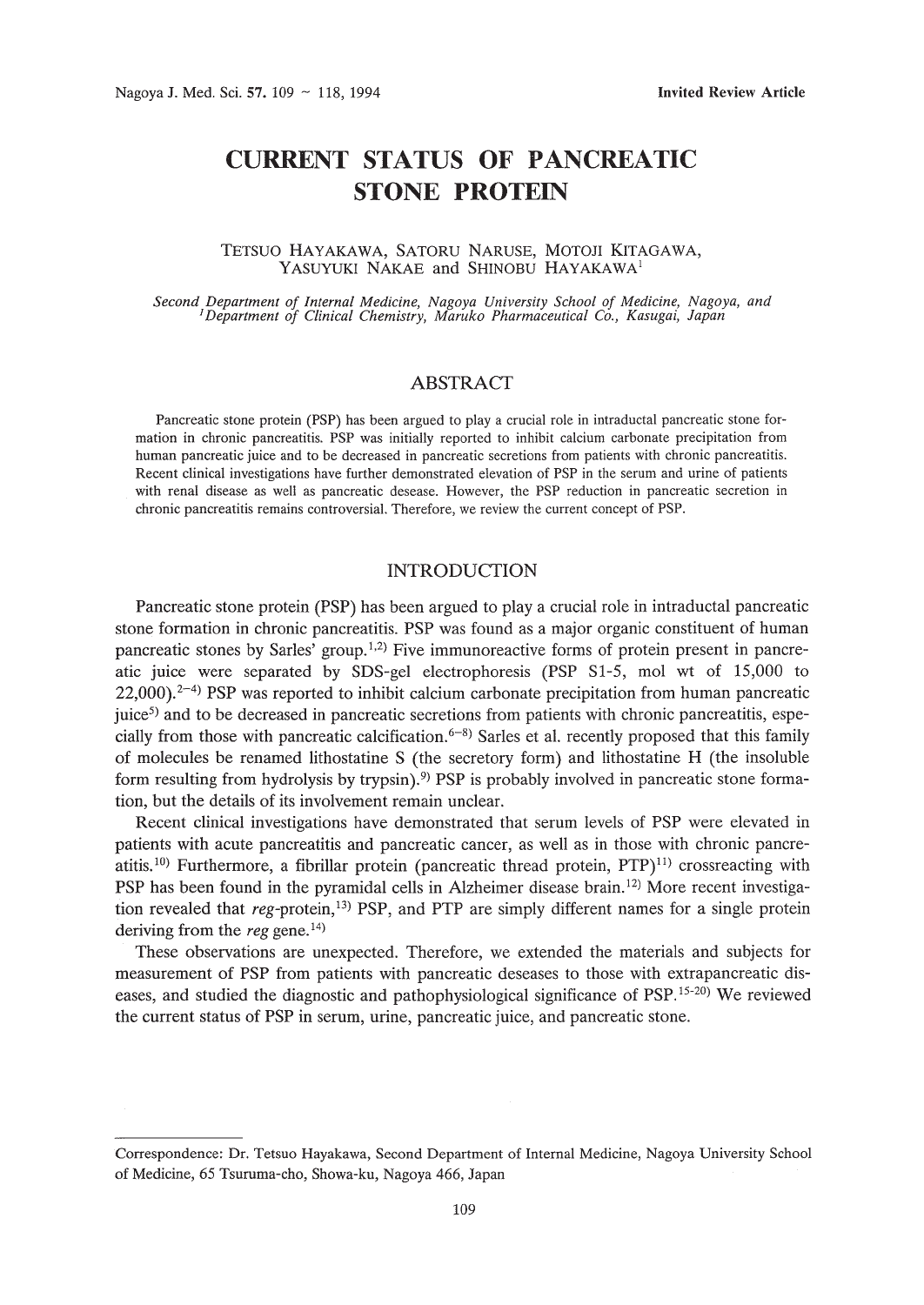# **CURRENT STATUS OF PANCREATIC STONE PROTEIN**

## TETSUO HAYAKAWA, SATORU NARUSE, MOTOJI KITAGAWA, YASUYUKI NAKAE and SHINOBU HAYAKAWA<sup>1</sup>

Second Department of Internal Medicine, Nagoya University School of Medicine, Nagoya, and<br>'Department of Clinical Chemistry, Maruko Pharmaceutical Co., Kasugai, Japan

#### ABSTRACT

Pancreatic stone protein (PSP) has been argued to playa crucial role in intraductal pancreatic stone formation in chronic pancreatitis. PSP was initially reported to inhibit calcium carbonate precipitation from human pancreatic juice and to be decreased in pancreatic secretions from patients with chronic pancreatitis. Recent clinical investigations have further demonstrated elevation of PSP in the serum and urine of patients with renal disease as well as pancreatic desease. However, the PSP reduction in pancreatic secretion in chronic pancreatitis remains controversial. Therefore, we review the current concept of PSP.

## INTRODUCTION

Pancreatic stone protein (PSP) has been argued to playa crucial role in intraductal pancreatic stone formation in chronic pancreatitis. PSP was found as a major organic constituent of human pancreatic stones by Sarles' group.<sup>1,2)</sup> Five immunoreactive forms of protein present in pancreatic juice were separated by SDS-gel electrophoresis (PSP SI-5, mol wt of 15,000 to  $22,000$ ).<sup>2-4)</sup> PSP was reported to inhibit calcium carbonate precipitation from human pancreatic  $juice<sup>5</sup>$  and to be decreased in pancreatic secretions from patients with chronic pancreatitis, especially from those with pancreatic calcification.<sup> $6-8$ </sup>) Sarles et al. recently proposed that this family of molecules be renamed lithostatine S (the secretory form) and lithostatine H (the insoluble form resulting from hydrolysis by trypsin).<sup>9)</sup> PSP is probably involved in pancreatic stone formation, but the details of its involvement remain unclear.

Recent clinical investigations have demonstrated that serum levels of PSP were elevated in patients with acute pancreatitis and pancreatic cancer, as well as in those with chronic pancreatitis.<sup>10</sup>) Furthermore, a fibrillar protein (pancreatic thread protein,  $PTP$ )<sup>11</sup>) crossreacting with PSP has been found in the pyramidal cells in Alzheimer disease brain.<sup>12)</sup> More recent investigation revealed that reg-protein,<sup>13)</sup> PSP, and PTP are simply different names for a single protein deriving from the *reg* gene. 14)

These observations are unexpected. Therefore, we extended the materials and subjects for measurement of PSP from patients with pancreatic deseases to those with extrapancreatic diseases, and studied the diagnostic and pathophysiological significance of PSP. 15-20) We reviewed the current status of PSP in serum, urine, pancreatic juice, and pancreatic stone.

Correspondence: Dr. Tetsuo Hayakawa, Second Department of Internal Medicine, Nagoya University School of Medicine, 65 Tsuruma-cho, Showa-ku, Nagoya 466, Japan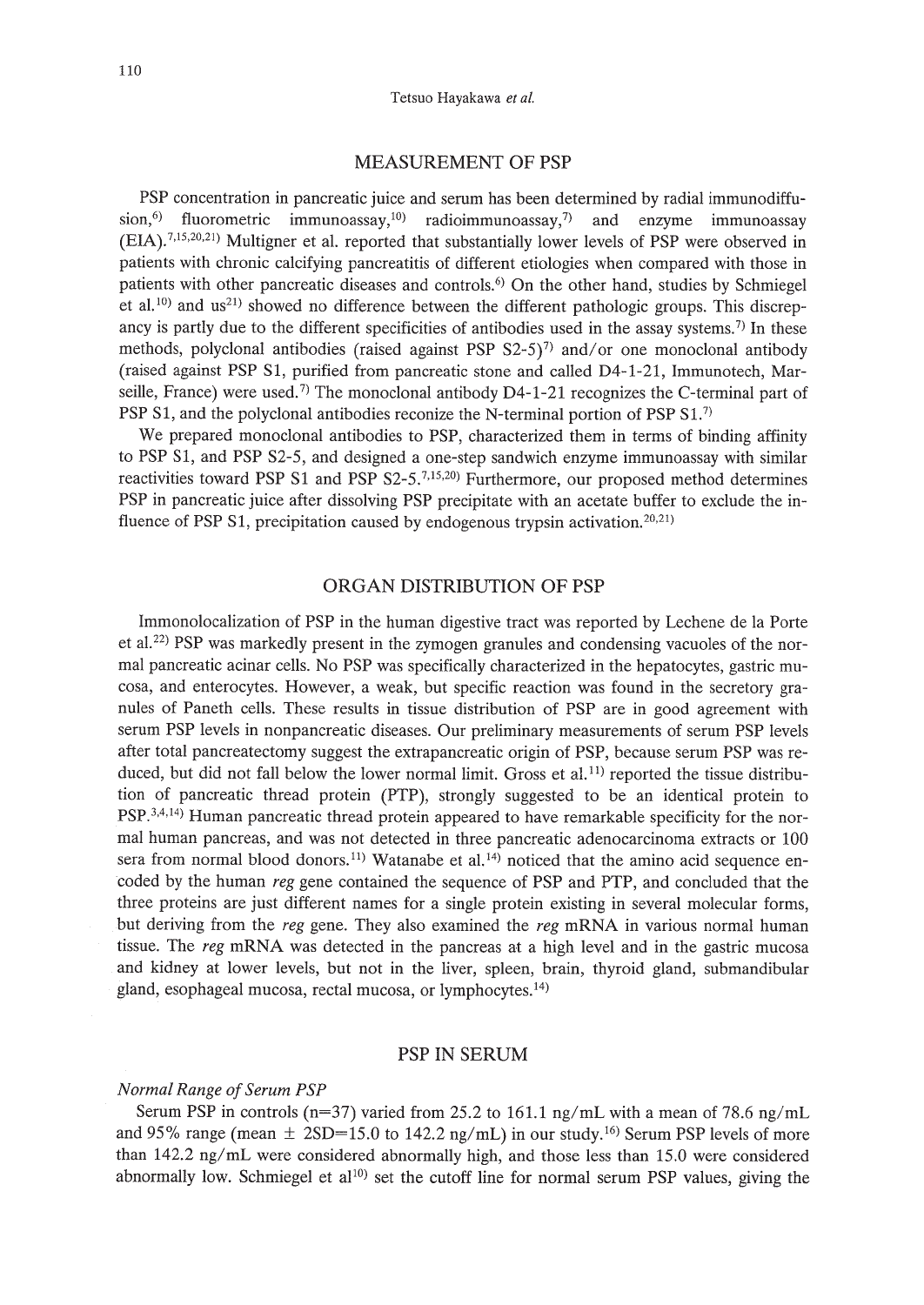#### MEASUREMENT OF PSP

PSP concentration in pancreatic juice and serum has been determined by radial immunodiffusion,<sup>6)</sup> fluorometric immunoassay,<sup>10</sup>) radioimmunoassay,<sup>7</sup> and enzyme immunoassay (EIA).7.15,20,21) Multigner et al. reported that substantially lower levels of PSP were observed in patients with chronic calcifying pancreatitis of different etiologies when compared with those in patients with other pancreatic diseases and controls.6) On the other hand, studies by Schmiegel et al.<sup>10</sup>) and us<sup>21</sup> showed no difference between the different pathologic groups. This discrepancy is partly due to the different specificities of antibodies used in the assay systems.<sup>7)</sup> In these methods, polyclonal antibodies (raised against PSP  $S2-5$ )<sup>7</sup>) and/or one monoclonal antibody (raised against PSP S1, purified from pancreatic stone and called D4-1-21, Immunotech, Marseille, France) were used.<sup>7)</sup> The monoclonal antibody D4-1-21 recognizes the C-terminal part of PSP S1, and the polyclonal antibodies reconize the N-terminal portion of PSP S1.<sup>7)</sup>

We prepared monoclonal antibodies to PSP, characterized them in terms of binding affinity to PSP S1, and PSP S2-S, and designed a one-step sandwich enzyme immunoassay with similar reactivities toward PSP S1 and PSP S2\_S.7,15,20) Furthermore, our proposed method determines PSP in pancreatic juice after dissolving PSP precipitate with an acetate buffer to exclude the influence of PSP S1, precipitation caused by endogenous trypsin activation.<sup>20,21)</sup>

## ORGAN DISTRIBUTION OF PSP

Immonolocalization of PSP in the human digestive tract was reported by Lechene de la Porte et al.22) PSP was markedly present in the zymogen granules and condensing vacuoles of the normal pancreatic acinar cells. No PSP was specifically characterized in the hepatocytes, gastric mucosa, and enterocytes. However, a weak, but specific reaction was found in the secretory granules of Paneth cells. These results in tissue distribution of PSP are in good agreement with serum PSP levels in nonpancreatic diseases. Our preliminary measurements of serum PSP levels after total pancreatectomy suggest the extrapancreatic origin of PSP, because serum PSP was reduced, but did not fall below the lower normal limit. Gross et al.<sup>11</sup>) reported the tissue distribution of pancreatic thread protein (PTP), strongly suggested to be an identical protein to  $PSP^{3,4,14}$  Human pancreatic thread protein appeared to have remarkable specificity for the normal human pancreas, and was not detected in three pancreatic adenocarcinoma extracts or 100 sera from normal blood donors.<sup>11)</sup> Watanabe et al.<sup>14</sup>) noticed that the amino acid sequence encoded by the human *reg* gene contained the sequence of PSP and PTP, and concluded that the three proteins are just different names for a single protein existing in several molecular forms, but deriving from the *reg* gene. They also examined the *reg* mRNA in various normal human tissue. The *reg* mRNA was detected in the pancreas at a high level and in the gastric mucosa and kidney at lower levels, but not in the liver, spleen, brain, thyroid gland, submandibular gland, esophageal mucosa, rectal mucosa, or lymphocytes. 14)

## PSP IN SERUM

## $Normal$  *Range of Serum PSP*

Serum PSP in controls (n=37) varied from *2S.2* to 161.1 ng/mL with a mean of 78.6 ng/mL and  $95\%$  range (mean  $\pm$  2SD=15.0 to 142.2 ng/mL) in our study.<sup>16</sup> Serum PSP levels of more than 142.2 ng/mL were considered abnormally high, and those less than *1S.0* were considered abnormally low. Schmiegel et  $al^{10}$ ) set the cutoff line for normal serum PSP values, giving the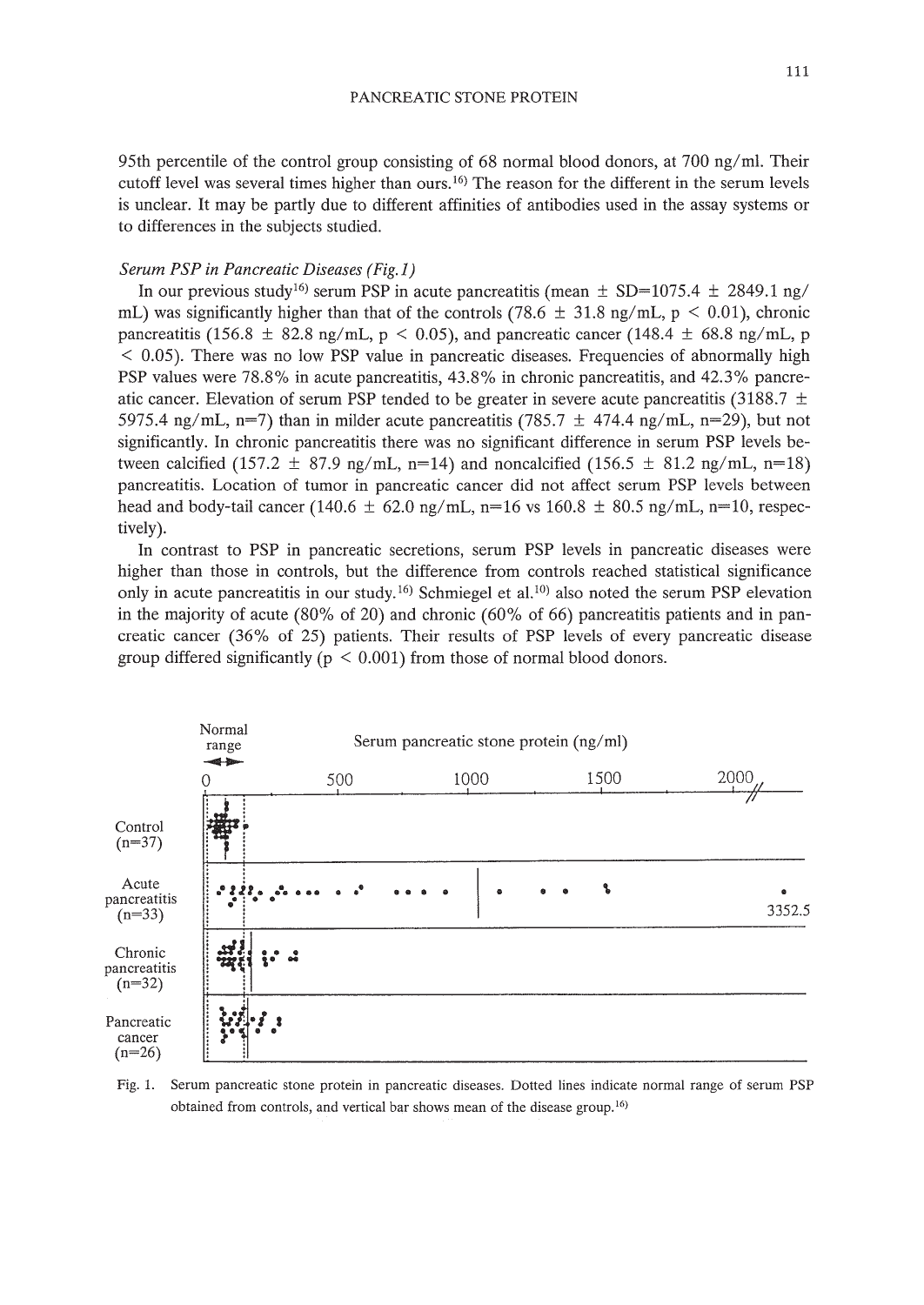95th percentile of the control group consisting of 68 normal blood donors, at 700 ng/ml. Their cutoff level was several times higher than ours. 16) The reason for the different in the serum levels is unclear. It may be partly due to different affinities of antibodies used in the assay systems or to differences in the subjects studied.

#### *Serum PSP in Pancreatic Diseases (Fig.* i)

In our previous study<sup>16)</sup> serum PSP in acute pancreatitis (mean  $\pm$  SD=1075.4  $\pm$  2849.1 ng/ mL) was significantly higher than that of the controls (78.6  $\pm$  31.8 ng/mL, p < 0.01), chronic pancreatitis (156.8  $\pm$  82.8 ng/mL, p < 0.05), and pancreatic cancer (148.4  $\pm$  68.8 ng/mL, p  $<$  0.05). There was no low PSP value in pancreatic diseases. Frequencies of abnormally high PSP values were 78.8% in acute pancreatitis, 43.8% in chronic pancreatitis, and 42.3% pancreatic cancer. Elevation of serum PSP tended to be greater in severe acute pancreatitis (3188.7  $\pm$ 5975.4 ng/mL, n=7) than in milder acute pancreatitis (785.7  $\pm$  474.4 ng/mL, n=29), but not significantly. In chronic pancreatitis there was no significant difference in serum PSP levels between calcified (157.2  $\pm$  87.9 ng/mL, n=14) and noncalcified (156.5  $\pm$  81.2 ng/mL, n=18) pancreatitis. Location of tumor in pancreatic cancer did not affect serum PSP levels between head and body-tail cancer (140.6  $\pm$  62.0 ng/mL, n=16 vs 160.8  $\pm$  80.5 ng/mL, n=10, respectively).

In contrast to PSP in pancreatic secretions, serum PSP levels in pancreatic diseases were higher than those in controls, but the difference from controls reached statistical significance only in acute pancreatitis in our study.<sup>16)</sup> Schmiegel et al.<sup>10</sup> also noted the serum PSP elevation in the majority of acute  $(80\% \text{ of } 20)$  and chronic  $(60\% \text{ of } 66)$  pancreatitis patients and in pancreatic cancer (36% of 25) patients. Their results of PSP levels of every pancreatic disease group differed significantly ( $p \leq 0.001$ ) from those of normal blood donors.



Fig. 1. Serum pancreatic stone protein in pancreatic diseases. Dotted lines indicate normal range of serum PSP obtained from controls, and vertical bar shows mean of the disease group.<sup>16)</sup>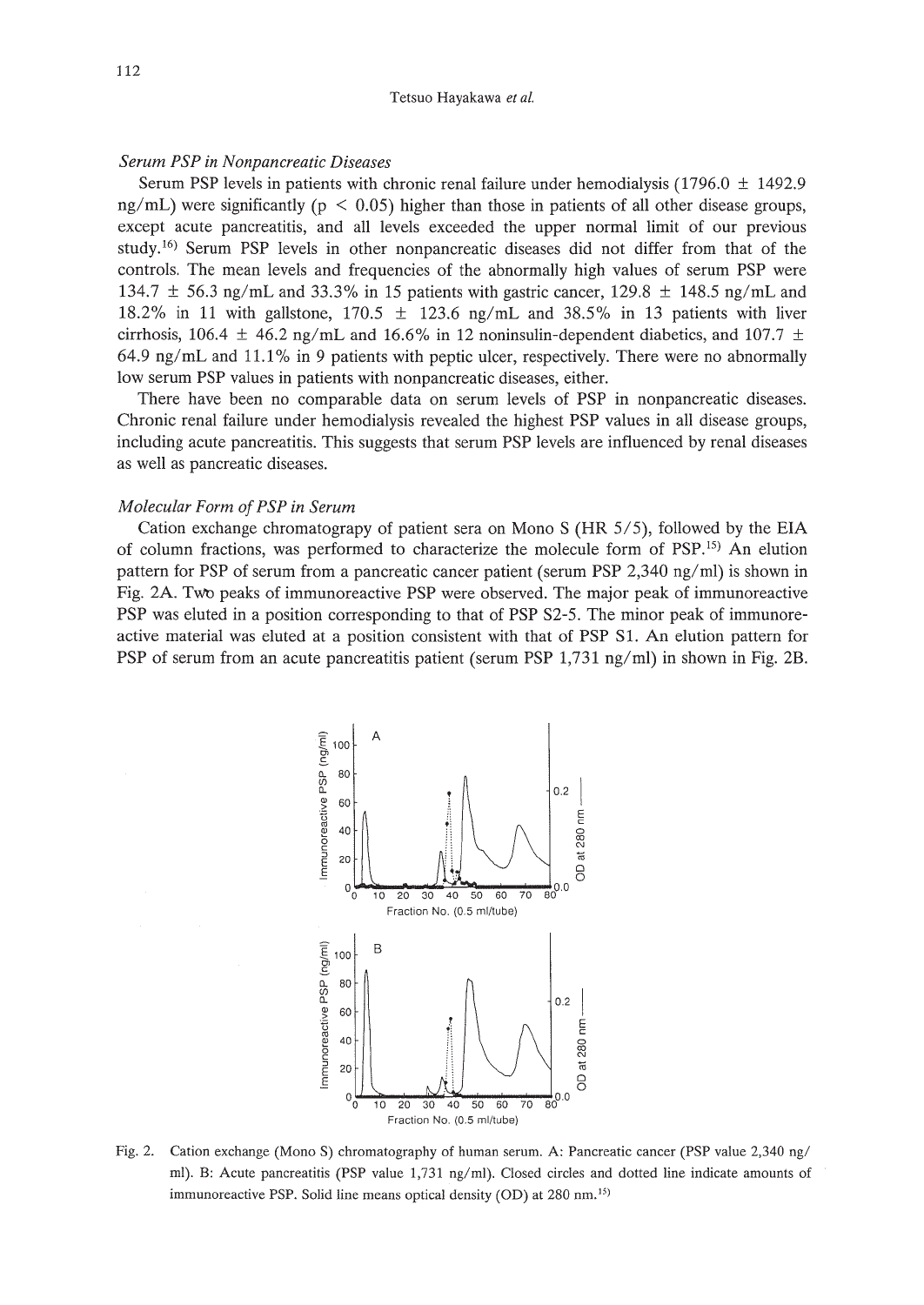## *Serum PSP in Nonpancreatic Diseases*

Serum PSP levels in patients with chronic renal failure under hemodialysis  $(1796.0 \pm 1492.9$  $ng/mL$ ) were significantly ( $p < 0.05$ ) higher than those in patients of all other disease groups, except acute pancreatitis, and all levels exceeded the upper normal limit of our previous study.16) Serum PSP levels in other nonpancreatic diseases did not differ from that of the controls. The mean levels and frequencies of the abnormally high values of serum PSP were 134.7 ± 56.3 ng/mL and 33.3% in 15 patients with gastric cancer, 129.8 ± 148.5 *ng/mL* and 18.2% in 11 with gallstone, 170.5 ± 123.6 *ng/mL* and 38.5% in 13 patients with liver cirrhosis, 106.4  $\pm$  46.2 ng/mL and 16.6% in 12 noninsulin-dependent diabetics, and 107.7  $\pm$ *64.9 ng/mL* and 11.1% in 9 patients with peptic ulcer, respectively. There were no abnormally low serum PSP values in patients with nonpancreatic diseases, either.

There have been no comparable data on serum levels of PSP in nonpancreatic diseases. Chronic renal failure under hemodialysis revealed the highest PSP values in all disease groups, including acute pancreatitis. This suggests that serum PSP levels are influenced by renal diseases as well as pancreatic diseases.

## *Molecular Form ofPSP in Serum*

Cation exchange chromatograpy of patient sera on Mono S (HR *SIS),* followed by the EIA of column fractions, was performed to characterize the molecule form of PSP.<sup>15)</sup> An elution pattern for PSP of serum from a pancreatic cancer patient (serum PSP 2,340 ng/ml) is shown in Fig. 2A. Two peaks of immunoreactive PSP were observed. The major peak of immunoreactive PSP was eluted in a position corresponding to that of PSP S2-5. The minor peak of immunoreactive material was eluted at a position consistent with that of PSP S1. An elution pattern for PSP of serum from an acute pancreatitis patient (serum PSP 1,731 *ng/ml)* in shown in Fig. 2B.



Fig. 2. Cation exchange (Mono S) chromatography of human serum. A: Pancreatic cancer (PSP value 2,340 ng/ ml). B: Acute pancreatitis (PSP value 1,731 ng/ml). Closed circles and dotted line indicate amounts of immunoreactive PSP. Solid line means optical density (OD) at 280 nm.<sup>15)</sup>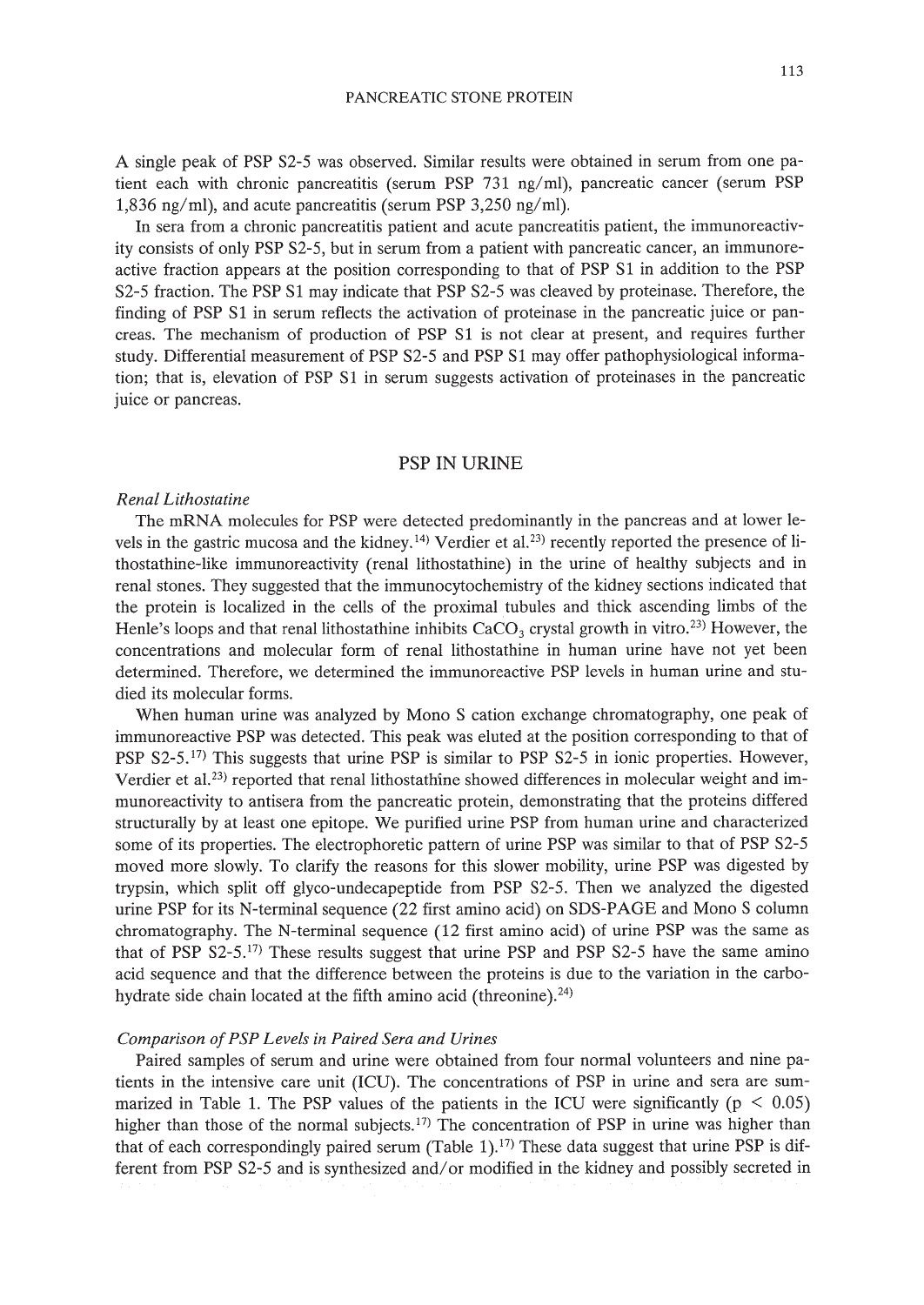A single peak of PSP S2-5 was observed. Similar results were obtained in serum from one patient each with chronic pancreatitis (serum PSP 731 ng/ml), pancreatic cancer (serum PSP 1,836 ng/ml), and acute pancreatitis (serum PSP 3,250 ng/ml).

In sera from a chronic pancreatitis patient and acute pancreatitis patient, the immunoreactivity consists of only PSP S2-5, but in serum from a patient with pancreatic cancer, an immunoreactive fraction appears at the position corresponding to that of PSP Sl in addition to the PSP S2-5 fraction. The PSP Sl may indicate that PSP S2-5 was cleaved by proteinase. Therefore, the finding of PSP S1 in serum reflects the activation of proteinase in the pancreatic juice or pancreas. The mechanism of production of PSP Sl is not clear at present, and requires further study. Differential measurement of PSP S2-5 and PSP Sl may offer pathophysiological information; that is, elevation of PSP S1 in serum suggests activation of proteinases in the pancreatic juice or pancreas.

## PSP IN URINE

## *Renal Lithostatine*

The mRNA molecules for PSP were detected predominantly in the pancreas and at lower levels in the gastric mucosa and the kidney.<sup>14)</sup> Verdier et al.<sup>23</sup> recently reported the presence of lithostathine-like immunoreactivity (renal lithostathine) in the urine of healthy subjects and in renal stones. They suggested that the immunocytochemistry of the kidney sections indicated that the protein is localized in the cells of the proximal tubules and thick ascending limbs of the Henle's loops and that renal lithostathine inhibits  $CaCO<sub>3</sub>$  crystal growth in vitro.<sup>23)</sup> However, the concentrations and molecular form of renal lithostathine in human urine have not yet been determined. Therefore, we determined the immunoreactive PSP levels in human urine and studied its molecular forms.

When human urine was analyzed by Mono S cation exchange chromatography, one peak of immunoreactive PSP was detected. This peak was eluted at the position corresponding to that of PSP S2-5.<sup>17</sup>) This suggests that urine PSP is similar to PSP S2-5 in ionic properties. However, Verdier et al.<sup>23)</sup> reported that renal lithostathine showed differences in molecular weight and immunoreactivity to antisera from the pancreatic protein, demonstrating that the proteins differed structurally by at least one epitope. We purified urine PSP from human urine and characterized some of its properties. The electrophoretic pattern of urine PSP was similar to that of PSP S2-5 moved more slowly. To clarify the reasons for this slower mobility, urine PSP was digested by trypsin, which split off glyco-undecapeptide from PSP S2-5. Then we analyzed the digested urine PSP for its N-terminal sequence (22 first amino acid) on SDS-PAGE and Mono S column chromatography. The N-terminal sequence (12 first amino acid) of urine PSP was the same as that of PSP  $S2-5$ .<sup>17)</sup> These results suggest that urine PSP and PSP  $S2-5$  have the same amino acid sequence and that the difference between the proteins is due to the variation in the carbohydrate side chain located at the fifth amino acid (threonine).<sup>24)</sup>

#### *Comparison ofPSP Levels in Paired Sera and Urines*

Paired samples of serum and urine were obtained from four normal volunteers and nine patients in the intensive care unit (ICU). The concentrations of PSP in urine and sera are summarized in Table 1. The PSP values of the patients in the ICU were significantly ( $p < 0.05$ ) higher than those of the normal subjects.<sup>17)</sup> The concentration of PSP in urine was higher than that of each correspondingly paired serum (Table 1).<sup>17)</sup> These data suggest that urine PSP is different from PSP S2-5 and is synthesized and/or modified in the kidney and possibly secreted in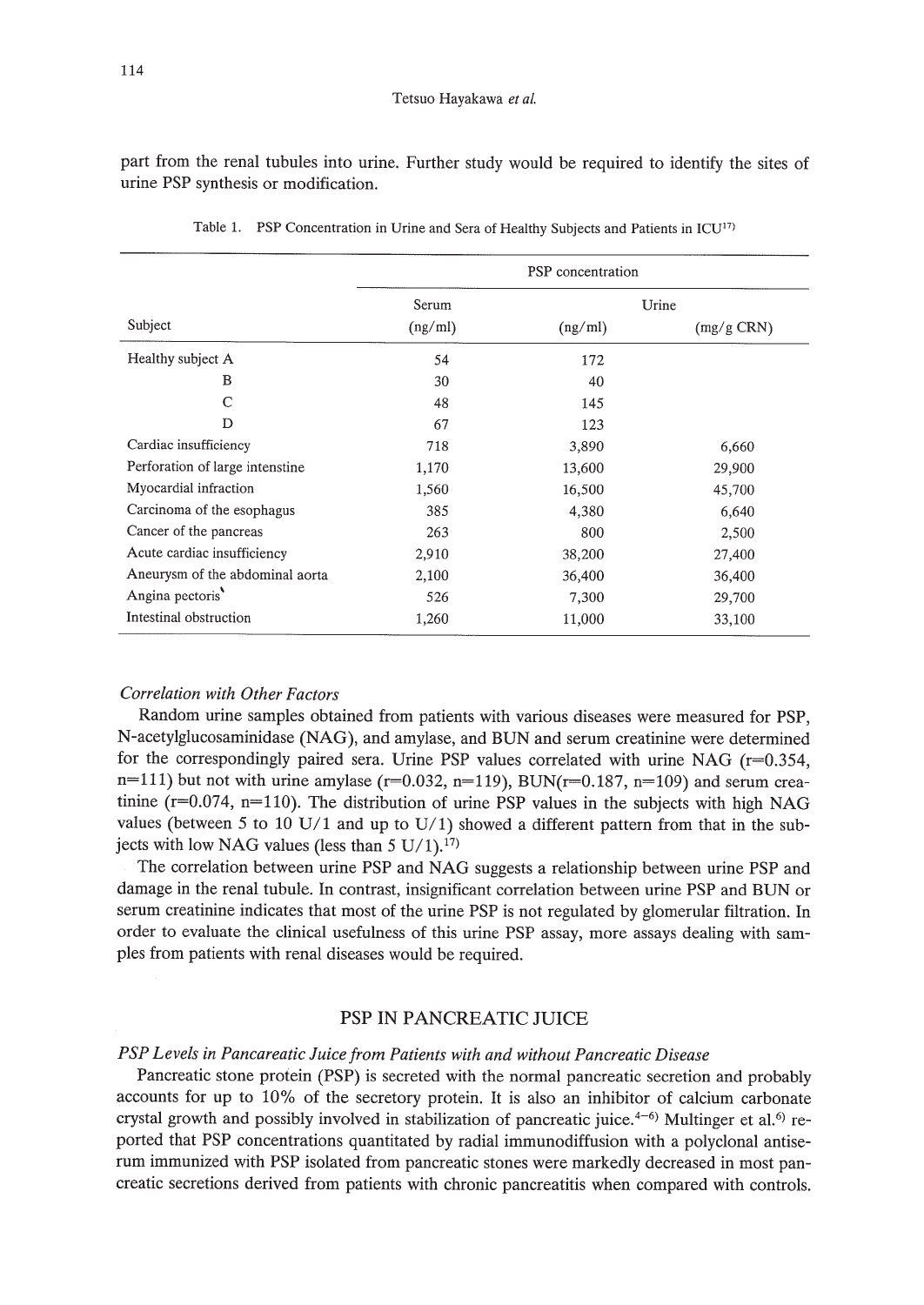part from the renal tubules into urine. Further study would be required to identify the sites of urine PSP synthesis or modification.

|                                 | PSP concentration |         |                |  |
|---------------------------------|-------------------|---------|----------------|--|
|                                 | Serum             | Urine   |                |  |
| Subject                         | (ng/ml)           | (ng/ml) | $(mg/g \ CRN)$ |  |
| Healthy subject A               | 54                | 172     |                |  |
| B                               | 30                | 40      |                |  |
| C                               | 48                | 145     |                |  |
| D                               | 67                | 123     |                |  |
| Cardiac insufficiency           | 718               | 3,890   | 6,660          |  |
| Perforation of large intenstine | 1,170             | 13,600  | 29,900         |  |
| Myocardial infraction           | 1,560             | 16,500  | 45,700         |  |
| Carcinoma of the esophagus      | 385               | 4,380   | 6,640          |  |
| Cancer of the pancreas          | 263               | 800     | 2,500          |  |
| Acute cardiac insufficiency     | 2,910             | 38,200  | 27,400         |  |
| Aneurysm of the abdominal aorta | 2,100             | 36,400  | 36,400         |  |
| Angina pectoris                 | 526               | 7,300   | 29,700         |  |
| Intestinal obstruction          | 1,260             | 11,000  | 33,100         |  |

Table 1. PSP Concentration in Urine and Sera of Healthy Subjects and Patients in ICU<sup>17)</sup>

#### *Correlation with Other Factors*

Random urine samples obtained from patients with various diseases were measured for PSP, N-acetylglucosaminidase (NAG), and amylase, and BVN and serum creatinine were determined for the correspondingly paired sera. Urine PSP values correlated with urine NAG  $(r=0.354, r=0.354)$  $n=111$ ) but not with urine amylase ( $r=0.032$ ,  $n=119$ ), BUN( $r=0.187$ ,  $n=109$ ) and serum creatinine ( $r=0.074$ ,  $n=110$ ). The distribution of urine PSP values in the subjects with high NAG values (between 5 to 10 U/1 and up to U/1) showed a different pattern from that in the subjects with low NAG values (less than 5 U/1).<sup>17)</sup>

The correlation between urine PSP and NAG suggests a relationship between urine PSP and damage in the renal tubule. In contrast, insignificant correlation between urine PSP and BVN or serum creatinine indicates that most of the urine PSP is not regulated by glomerular filtration. In order to evaluate the clinical usefulness of this urine PSP assay, more assays dealing with samples from patients with renal diseases would be required.

## PSP **IN** PANCREATIC JUICE

## *PSP Levels in Pancareatic Juice from Patients with and without Pancreatic Disease*

Pancreatic stone protein (PSP) is secreted with the normal pancreatic secretion and probably accounts for up to 10% of the secretory protein. It is also an inhibitor of calcium carbonate crystal growth and possibly involved in stabilization of pancreatic juice.<sup>4-6)</sup> Multinger et al.<sup>6)</sup> reported that PSP concentrations quantitated by radial immunodiffusion with a polyclonal antiserum immunized with PSP isolated from pancreatic stones were markedly decreased in most pancreatic secretions derived from patients with chronic pancreatitis when compared with controls.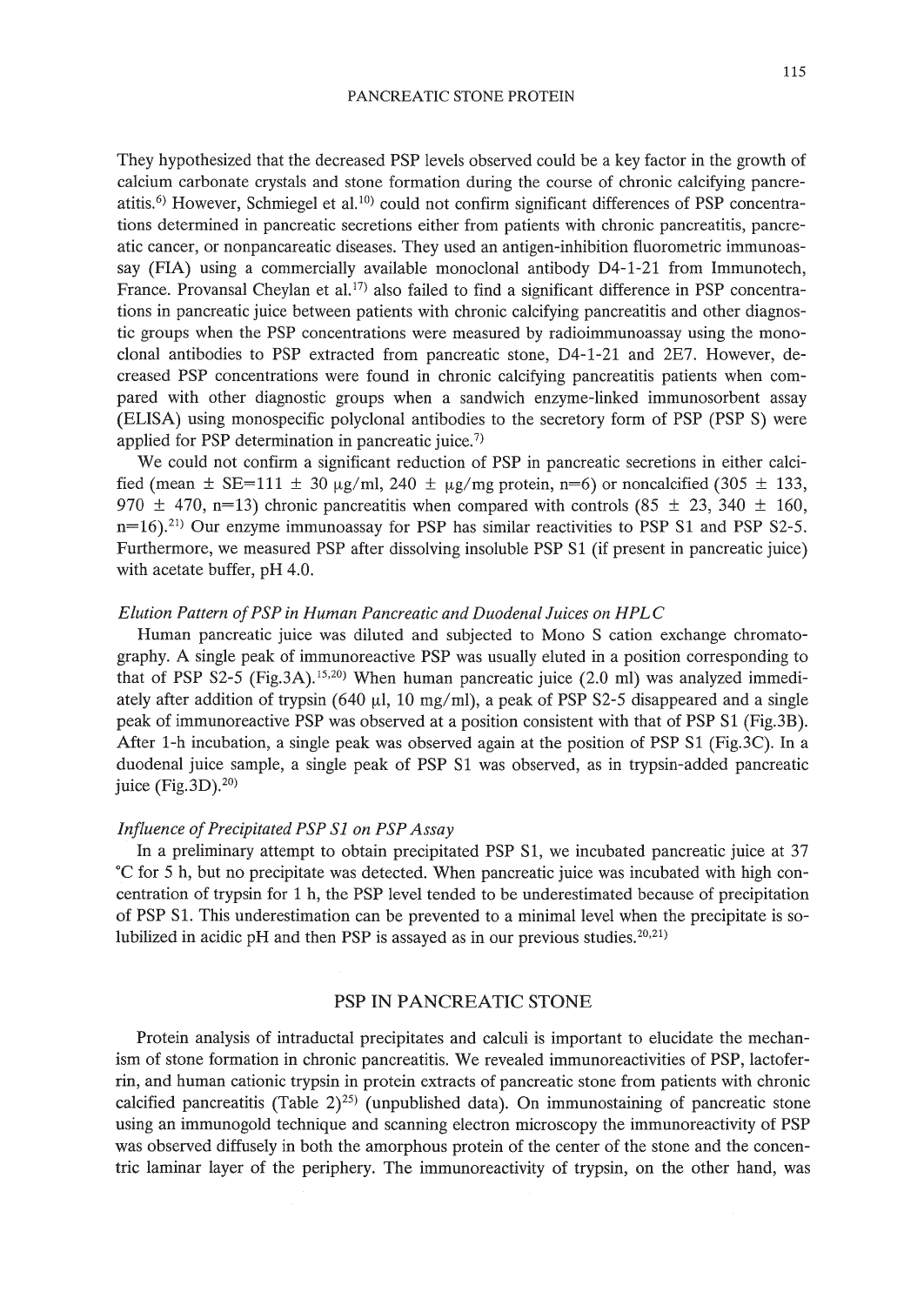They hypothesized that the decreased PSP levels observed could be a key factor in the growth of calcium carbonate crystals and stone formation during the course of chronic calcifying pancreatitis.<sup>6)</sup> However, Schmiegel et al.<sup>10)</sup> could not confirm significant differences of PSP concentrations determined in pancreatic secretions either from patients with chronic pancreatitis, pancreatic cancer, or nonpancareatic diseases. They used an antigen-inhibition fluorometric immunoassay (FIA) using a commercially available monoclonal antibody D4-1-21 from Immunotech, France. Provansal Cheylan et al.<sup>17</sup> also failed to find a significant difference in PSP concentrations in pancreatic juice between patients with chronic calcifying pancreatitis and other diagnostic groups when the PSP concentrations were measured by radioimmunoassay using the monoclonal antibodies to PSP extracted from pancreatic stone, D4-1-21 and 2E7. However, decreased PSP concentrations were found in chronic calcifying pancreatitis patients when compared with other diagnostic groups when a sandwich enzyme-linked immunosorbent assay (ELISA) using monospecific polyclonal antibodies to the secretory form of PSP (PSP S) were applied for PSP determination in pancreatic juice.<sup>7)</sup>

We could not confirm a significant reduction of PSP in pancreatic secretions in either calcified (mean  $\pm$  SE=111  $\pm$  30  $\mu$ g/ml, 240  $\pm \mu$ g/mg protein, n=6) or noncalcified (305  $\pm$  133, 970  $\pm$  470, n=13) chronic pancreatitis when compared with controls (85  $\pm$  23, 340  $\pm$  160,  $n=16$ ).<sup>21)</sup> Our enzyme immunoassay for PSP has similar reactivities to PSP S1 and PSP S2-5. Furthermore, we measured PSP after dissolving insoluble PSP Sl (if present in pancreatic juice) with acetate buffer, pH 4.0.

#### *Elution Pattern ofPSP in Human Pancreatic and Duodenal Juices on HPLC*

Human pancreatic juice was diluted and subjected to Mono S cation exchange chromatography. A single peak of immunoreactive PSP was usually eluted in a position corresponding to that of PSP S2-5 (Fig.3A).<sup>15,20)</sup> When human pancreatic juice (2.0 ml) was analyzed immediately after addition of trypsin (640  $\mu$ l, 10 mg/ml), a peak of PSP S2-5 disappeared and a single peak of immunoreactive PSP was observed at a position consistent with that of PSP Sl (Fig.3B). After 1-h incubation, a single peak was observed again at the position of PSP S1 (Fig.3C). In a duodenal juice sample, a single peak of PSP Sl was observed, as in trypsin-added pancreatic juice (Fig.  $3D$ ).<sup>20</sup>

### *Influence of Precipitated PSP S1 on PSP Assay*

In a preliminary attempt to obtain precipitated PSP Sl, we incubated pancreatic juice at 37 °C for 5 h, but no precipitate was detected. When pancreatic juice was incubated with high concentration of trypsin for 1 h, the PSP level tended to be underestimated because of precipitation of PSP Sl. This underestimation can be prevented to a minimal level when the precipitate is solubilized in acidic pH and then PSP is assayed as in our previous studies. $20,21$ )

## PSP **IN** PANCREATIC STONE

Protein analysis of intraductal precipitates and calculi is important to elucidate the mechanism of stone formation in chronic pancreatitis. We revealed immunoreactivities of PSP, lactoferrin, and human cationic trypsin in protein extracts of pancreatic stone from patients with chronic calcified pancreatitis (Table 2)<sup>25)</sup> (unpublished data). On immunostaining of pancreatic stone using an immunogold technique and scanning electron microscopy the immunoreactivity of PSP was observed diffusely in both the amorphous protein of the center of the stone and the concentric laminar layer of the periphery. The immunoreactivity of trypsin, on the other hand, was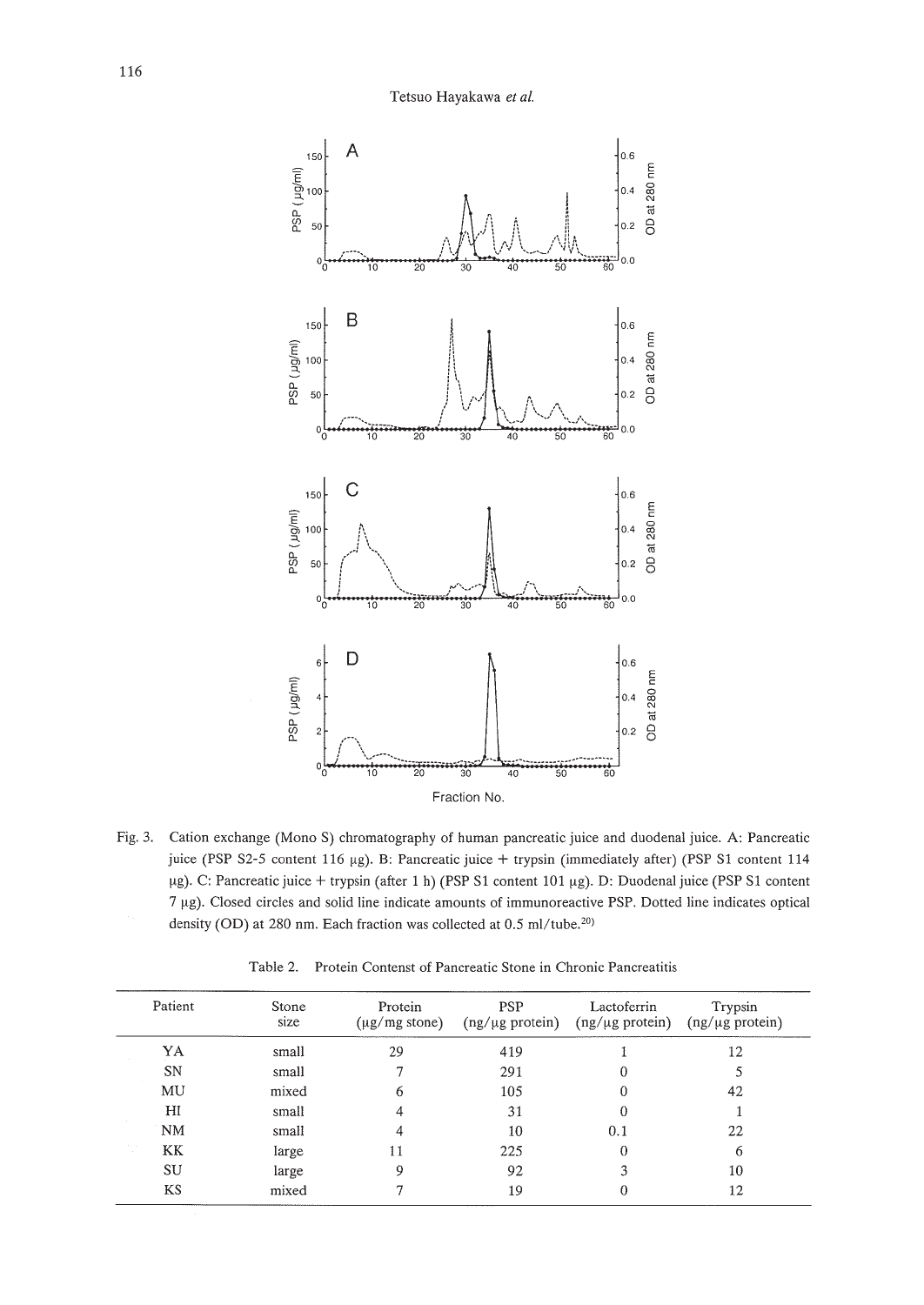

Fig. 3. Cation exchange (Mono S) chromatography of human pancreatic juice and duodenal juice. A: Pancreatic juice (PSP S2-5 content 116 µg). B: Pancreatic juice + trypsin (immediately after) (PSP S1 content 114 µg). C: Pancreatic juice + trypsin (after 1 h) (PSP S1 content 101 µg). D: Duodenal juice (PSP S1 content 7 µg). Closed circles and solid line indicate amounts of immunoreactive PSP. Dotted line indicates optical density (OD) at 280 nm. Each fraction was collected at 0.5 ml/tube.<sup>20)</sup>

Table 2. Protein Contenst of Pancreatic Stone in Chronic Pancreatitis

| Patient   | Stone<br>size | Protein<br>$(\mu$ g/mg stone) | <b>PSP</b><br>$(ng/\mu g$ protein) | Lactoferrin<br>$(ng/\mu g$ protein) | Trypsin<br>$(ng/\mu g$ protein) |
|-----------|---------------|-------------------------------|------------------------------------|-------------------------------------|---------------------------------|
| YA        | small         | 29                            | 419                                |                                     | 12                              |
| SN        | small         |                               | 291                                | 0                                   |                                 |
| MU        | mixed         | 6                             | 105                                | $\theta$                            | 42                              |
| H1        | small         | 4                             | 31                                 | 0                                   |                                 |
| <b>NM</b> | small         | 4                             | 10                                 | 0.1                                 | 22                              |
| KK        | large         | 11                            | 225                                | $\theta$                            | 6                               |
| SU        | large         | 9                             | 92                                 | 3                                   | 10                              |
| <b>KS</b> | mixed         |                               | 19                                 | 0                                   | 12                              |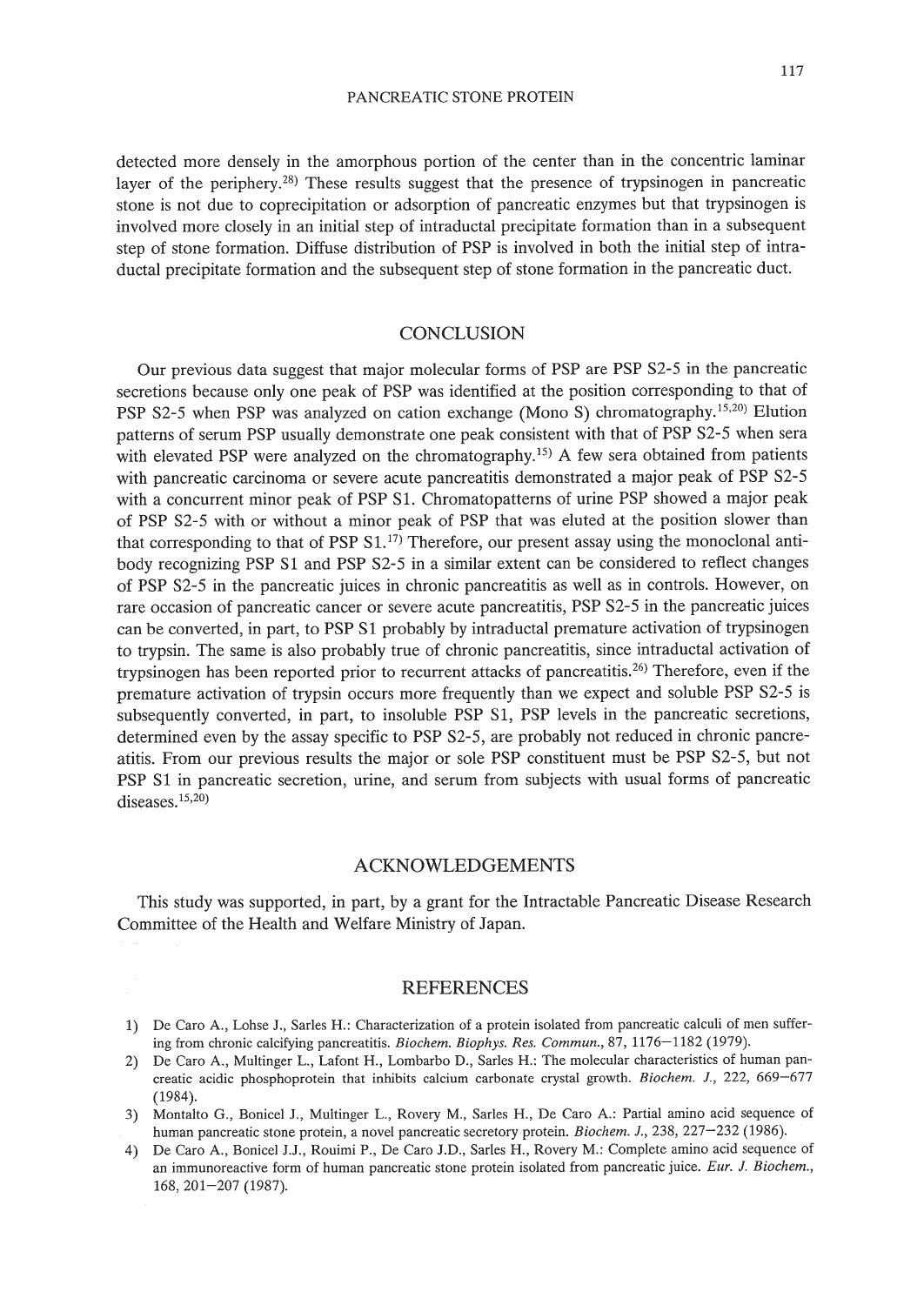detected more densely in the amorphous portion of the center than in the concentric laminar layer of the periphery.28) These results suggest that the presence of trypsinogen in pancreatic stone is not due to coprecipitation or adsorption of pancreatic enzymes but that trypsinogen is involved more closely in an initial step of intraductal precipitate formation than in a subsequent step of stone formation. Diffuse distribution of PSP is involved in both the initial step of intraductal precipitate formation and the subsequent step of stone formation in the pancreatic duct.

### **CONCLUSION**

Our previous data suggest that major molecular forms of PSP are PSP S2-5 in the pancreatic secretions because only one peak of PSP was identified at the position corresponding to that of PSP S2-5 when PSP was analyzed on cation exchange (Mono S) chromatography.<sup>15,20</sup>) Elution patterns of serum PSP usually demonstrate one peak consistent with that of PSP S2-5 when sera with elevated PSP were analyzed on the chromatography.<sup>15)</sup> A few sera obtained from patients with pancreatic carcinoma or severe acute pancreatitis demonstrated a major peak of PSP S2-5 with a concurrent minor peak of PSP S1. Chromatopatterns of urine PSP showed a major peak of PSP S2-5 with or without a minor peak of PSP that was eluted at the position slower than that corresponding to that of PSP  $S1$ .<sup>[7]</sup> Therefore, our present assay using the monoclonal antibody recognizing PSP Sl and PSP S2-5 in a similar extent can be considered to reflect changes of PSP S2-5 in the pancreatic juices in chronic pancreatitis as well as in controls. However, on rare occasion of pancreatic cancer or severe acute pancreatitis, PSP S2-5 in the pancreatic juices can be converted, in part, to PSP S1 probably by intraductal premature activation of trypsinogen to trypsin. The same is also probably true of chronic pancreatitis, since intraductal activation of trypsinogen has been reported prior to recurrent attacks of pancreatitis.26) Therefore, even if the premature activation of trypsin occurs more frequently than we expect and soluble PSP S2-5 is subsequently converted, in part, to insoluble PSP Sl, PSP levels in the pancreatic secretions, determined even by the assay specific to PSP S2-5, are probably not reduced in chronic pancreatitis. From our previous results the major or sole PSP constituent must be PSP S2-5, but not PSP Sl in pancreatic secretion, urine, and serum from subjects with usual forms of pancreatic diseases.<sup>15,20</sup>)

### ACKNOWLEDGEMENTS

This study was supported, in part, by a grant for the Intractable Pancreatic Disease Research Committee of the Health and Welfare Ministry of Japan.

## **REFERENCES**

- 1) De Caro A., Lohse J., Sarles H.: Characterization of a protein isolated from pancreatic calculi of men suffering from chronic calcifying pancreatitis. *Biochem. Biophys. Res. Commun.*, 87, 1176-1182 (1979).
- 2) De Caro A., Multinger L., Lafont H., Lombarbo D., Sarles H.: The molecular characteristics of human pancreatic acidic phosphoprotein that inhibits calcium carbonate crystal growth. *Biochem.* J., 222, 669-677 (1984).
- 3) Montalto G., Bonicel J., Multinger L., Rovery M., Sarles H., De Caro A.: Partial amino acid sequence of human pancreatic stone protein, a novel pancreatic secretory protein. *Biochem. J.*, 238, 227-232 (1986).
- 4) De Caro A., Bonicel J.J., Rouimi P., De Caro J.D., Sarles H., Rovery M.: Complete amino acid sequence of an immunoreactive form of human pancreatic stone protein isolated from pancreatic juice. *Eur.* J. *Biochem.,* 168,201-207 (1987).